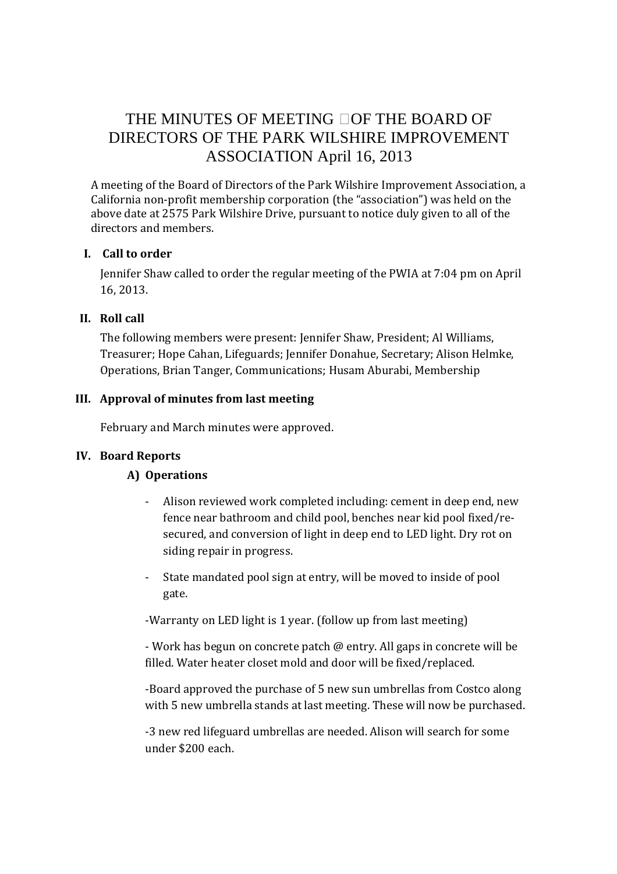# THE MINUTES OF MEETING OF THE BOARD OF DIRECTORS OF THE PARK WILSHIRE IMPROVEMENT ASSOCIATION April 16, 2013

A meeting of the Board of Directors of the Park Wilshire Improvement Association, a California non-profit membership corporation (the "association") was held on the above date at 2575 Park Wilshire Drive, pursuant to notice duly given to all of the directors and members.

### **I. Call to order**

Jennifer Shaw called to order the regular meeting of the PWIA at 7:04 pm on April 16, 2013.

# **II. Roll call**

The following members were present: Jennifer Shaw, President; Al Williams, Treasurer; Hope Cahan, Lifeguards; Jennifer Donahue, Secretary; Alison Helmke, Operations, Brian Tanger, Communications; Husam Aburabi, Membership

# **III. Approval of minutes from last meeting**

February and March minutes were approved.

# **IV. Board Reports**

# **A) Operations**

- Alison reviewed work completed including: cement in deep end, new fence near bathroom and child pool, benches near kid pool fixed/resecured, and conversion of light in deep end to LED light. Dry rot on siding repair in progress.
- State mandated pool sign at entry, will be moved to inside of pool gate.

-Warranty on LED light is 1 year. (follow up from last meeting)

- Work has begun on concrete patch @ entry. All gaps in concrete will be filled. Water heater closet mold and door will be fixed/replaced.

-Board approved the purchase of 5 new sun umbrellas from Costco along with 5 new umbrella stands at last meeting. These will now be purchased.

-3 new red lifeguard umbrellas are needed. Alison will search for some under \$200 each.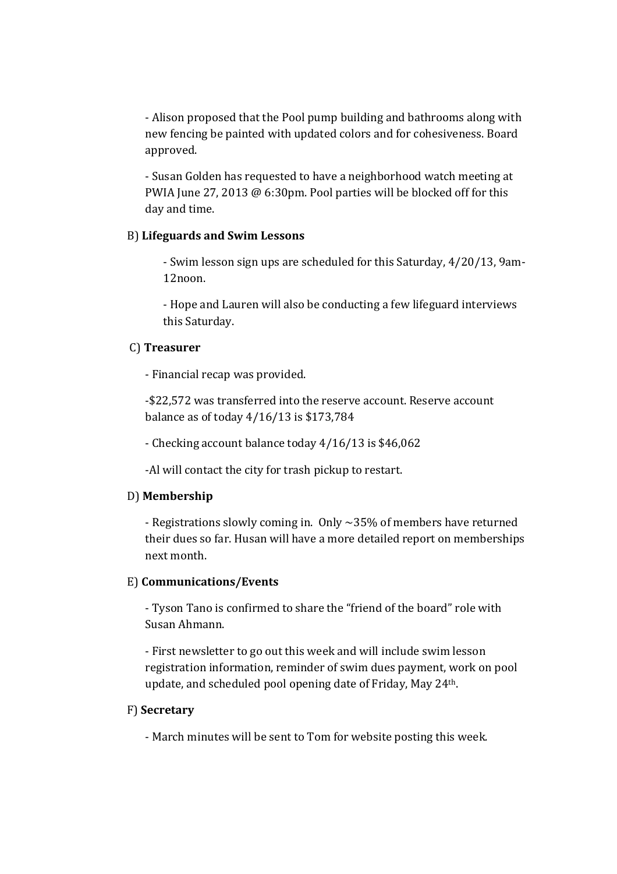- Alison proposed that the Pool pump building and bathrooms along with new fencing be painted with updated colors and for cohesiveness. Board approved.

- Susan Golden has requested to have a neighborhood watch meeting at PWIA June 27, 2013 @ 6:30pm. Pool parties will be blocked off for this day and time.

#### B) **Lifeguards and Swim Lessons**

- Swim lesson sign ups are scheduled for this Saturday, 4/20/13, 9am-12noon.

- Hope and Lauren will also be conducting a few lifeguard interviews this Saturday.

#### C) **Treasurer**

- Financial recap was provided.

 -\$22,572 was transferred into the reserve account. Reserve account balance as of today 4/16/13 is \$173,784

- Checking account balance today 4/16/13 is \$46,062

-Al will contact the city for trash pickup to restart.

### D) **Membership**

 - Registrations slowly coming in. Only ~35% of members have returned their dues so far. Husan will have a more detailed report on memberships next month.

#### E) **Communications/Events**

 - Tyson Tano is confirmed to share the "friend of the board" role with Susan Ahmann.

 - First newsletter to go out this week and will include swim lesson registration information, reminder of swim dues payment, work on pool update, and scheduled pool opening date of Friday, May 24th.

### F) **Secretary**

- March minutes will be sent to Tom for website posting this week.